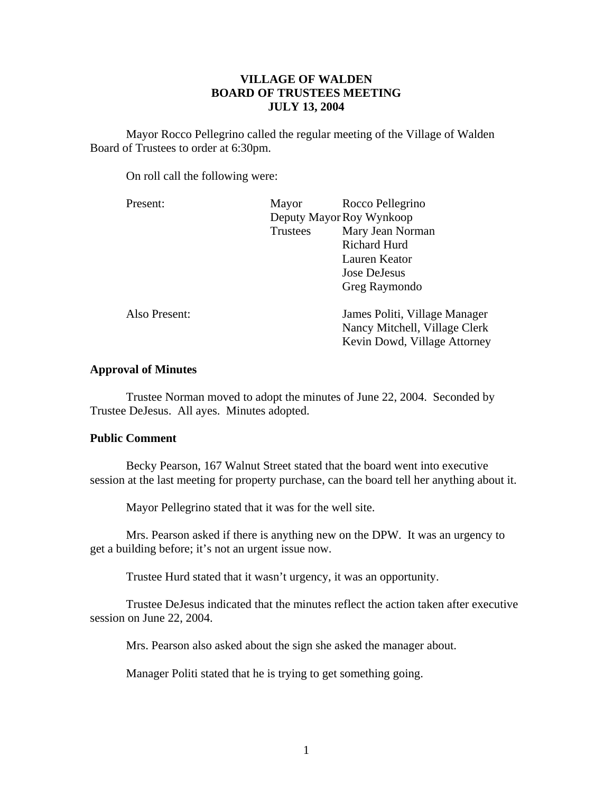# **VILLAGE OF WALDEN BOARD OF TRUSTEES MEETING JULY 13, 2004**

 Mayor Rocco Pellegrino called the regular meeting of the Village of Walden Board of Trustees to order at 6:30pm.

On roll call the following were:

| Present:      | Mayor                    | Rocco Pellegrino              |
|---------------|--------------------------|-------------------------------|
|               | Deputy Mayor Roy Wynkoop |                               |
|               | <b>Trustees</b>          | Mary Jean Norman              |
|               |                          | <b>Richard Hurd</b>           |
|               |                          | Lauren Keator                 |
|               |                          | Jose DeJesus                  |
|               |                          | Greg Raymondo                 |
| Also Present: |                          | James Politi, Village Manager |
|               |                          | Nancy Mitchell, Village Clerk |
|               |                          | Kevin Dowd, Village Attorney  |
|               |                          |                               |

# **Approval of Minutes**

Trustee Norman moved to adopt the minutes of June 22, 2004. Seconded by Trustee DeJesus. All ayes. Minutes adopted.

## **Public Comment**

Becky Pearson, 167 Walnut Street stated that the board went into executive session at the last meeting for property purchase, can the board tell her anything about it.

Mayor Pellegrino stated that it was for the well site.

 Mrs. Pearson asked if there is anything new on the DPW. It was an urgency to get a building before; it's not an urgent issue now.

Trustee Hurd stated that it wasn't urgency, it was an opportunity.

 Trustee DeJesus indicated that the minutes reflect the action taken after executive session on June 22, 2004.

Mrs. Pearson also asked about the sign she asked the manager about.

Manager Politi stated that he is trying to get something going.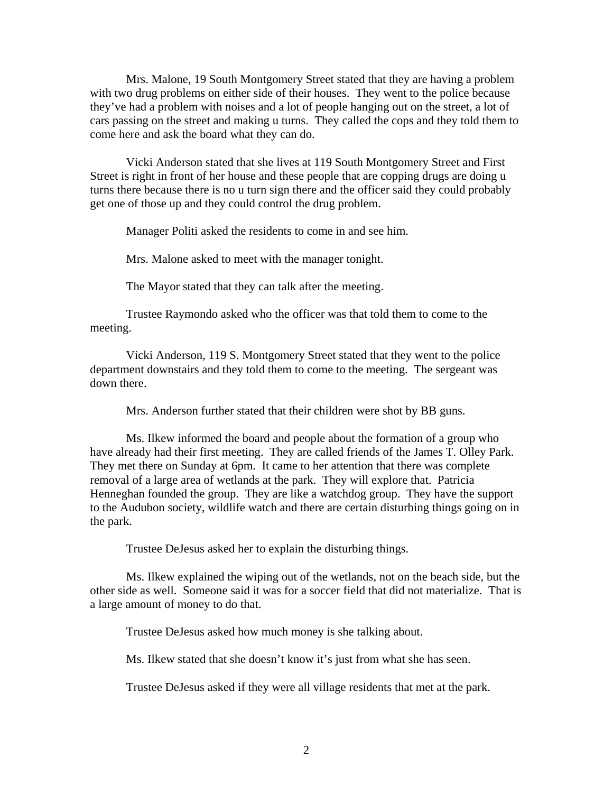Mrs. Malone, 19 South Montgomery Street stated that they are having a problem with two drug problems on either side of their houses. They went to the police because they've had a problem with noises and a lot of people hanging out on the street, a lot of cars passing on the street and making u turns. They called the cops and they told them to come here and ask the board what they can do.

 Vicki Anderson stated that she lives at 119 South Montgomery Street and First Street is right in front of her house and these people that are copping drugs are doing u turns there because there is no u turn sign there and the officer said they could probably get one of those up and they could control the drug problem.

Manager Politi asked the residents to come in and see him.

Mrs. Malone asked to meet with the manager tonight.

The Mayor stated that they can talk after the meeting.

 Trustee Raymondo asked who the officer was that told them to come to the meeting.

 Vicki Anderson, 119 S. Montgomery Street stated that they went to the police department downstairs and they told them to come to the meeting. The sergeant was down there.

Mrs. Anderson further stated that their children were shot by BB guns.

 Ms. Ilkew informed the board and people about the formation of a group who have already had their first meeting. They are called friends of the James T. Olley Park. They met there on Sunday at 6pm. It came to her attention that there was complete removal of a large area of wetlands at the park. They will explore that. Patricia Henneghan founded the group. They are like a watchdog group. They have the support to the Audubon society, wildlife watch and there are certain disturbing things going on in the park.

Trustee DeJesus asked her to explain the disturbing things.

 Ms. Ilkew explained the wiping out of the wetlands, not on the beach side, but the other side as well. Someone said it was for a soccer field that did not materialize. That is a large amount of money to do that.

Trustee DeJesus asked how much money is she talking about.

Ms. Ilkew stated that she doesn't know it's just from what she has seen.

Trustee DeJesus asked if they were all village residents that met at the park.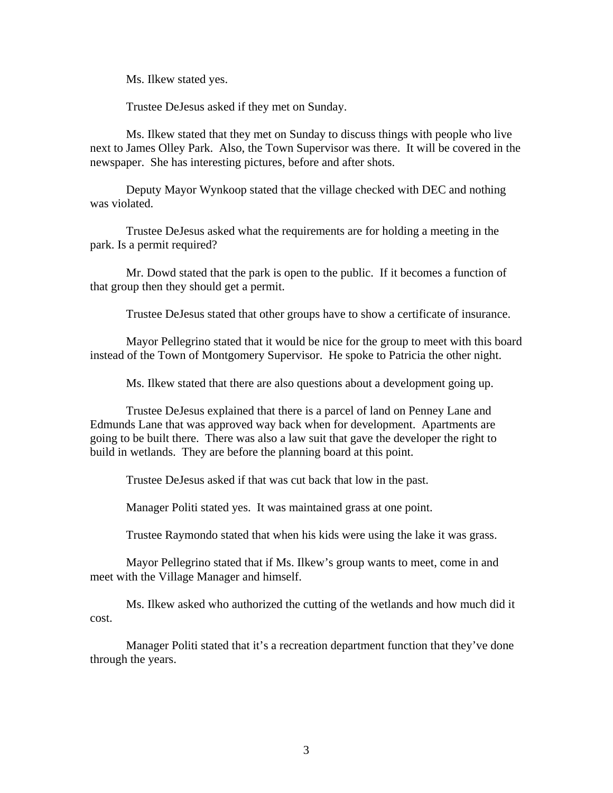Ms. Ilkew stated yes.

Trustee DeJesus asked if they met on Sunday.

 Ms. Ilkew stated that they met on Sunday to discuss things with people who live next to James Olley Park. Also, the Town Supervisor was there. It will be covered in the newspaper. She has interesting pictures, before and after shots.

 Deputy Mayor Wynkoop stated that the village checked with DEC and nothing was violated.

 Trustee DeJesus asked what the requirements are for holding a meeting in the park. Is a permit required?

 Mr. Dowd stated that the park is open to the public. If it becomes a function of that group then they should get a permit.

Trustee DeJesus stated that other groups have to show a certificate of insurance.

 Mayor Pellegrino stated that it would be nice for the group to meet with this board instead of the Town of Montgomery Supervisor. He spoke to Patricia the other night.

Ms. Ilkew stated that there are also questions about a development going up.

 Trustee DeJesus explained that there is a parcel of land on Penney Lane and Edmunds Lane that was approved way back when for development. Apartments are going to be built there. There was also a law suit that gave the developer the right to build in wetlands. They are before the planning board at this point.

Trustee DeJesus asked if that was cut back that low in the past.

Manager Politi stated yes. It was maintained grass at one point.

Trustee Raymondo stated that when his kids were using the lake it was grass.

 Mayor Pellegrino stated that if Ms. Ilkew's group wants to meet, come in and meet with the Village Manager and himself.

 Ms. Ilkew asked who authorized the cutting of the wetlands and how much did it cost.

 Manager Politi stated that it's a recreation department function that they've done through the years.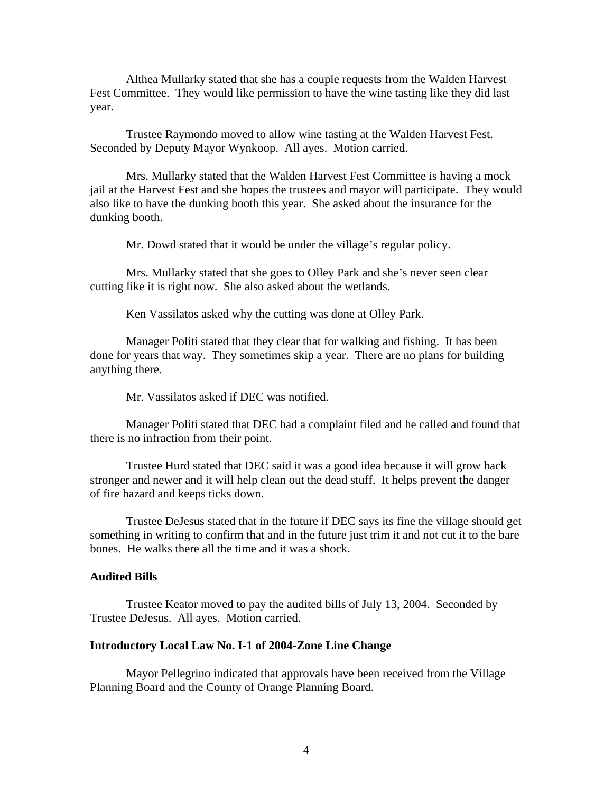Althea Mullarky stated that she has a couple requests from the Walden Harvest Fest Committee. They would like permission to have the wine tasting like they did last year.

 Trustee Raymondo moved to allow wine tasting at the Walden Harvest Fest. Seconded by Deputy Mayor Wynkoop. All ayes. Motion carried.

 Mrs. Mullarky stated that the Walden Harvest Fest Committee is having a mock jail at the Harvest Fest and she hopes the trustees and mayor will participate. They would also like to have the dunking booth this year. She asked about the insurance for the dunking booth.

Mr. Dowd stated that it would be under the village's regular policy.

 Mrs. Mullarky stated that she goes to Olley Park and she's never seen clear cutting like it is right now. She also asked about the wetlands.

Ken Vassilatos asked why the cutting was done at Olley Park.

 Manager Politi stated that they clear that for walking and fishing. It has been done for years that way. They sometimes skip a year. There are no plans for building anything there.

Mr. Vassilatos asked if DEC was notified.

 Manager Politi stated that DEC had a complaint filed and he called and found that there is no infraction from their point.

 Trustee Hurd stated that DEC said it was a good idea because it will grow back stronger and newer and it will help clean out the dead stuff. It helps prevent the danger of fire hazard and keeps ticks down.

 Trustee DeJesus stated that in the future if DEC says its fine the village should get something in writing to confirm that and in the future just trim it and not cut it to the bare bones. He walks there all the time and it was a shock.

#### **Audited Bills**

Trustee Keator moved to pay the audited bills of July 13, 2004. Seconded by Trustee DeJesus. All ayes. Motion carried.

#### **Introductory Local Law No. I-1 of 2004-Zone Line Change**

Mayor Pellegrino indicated that approvals have been received from the Village Planning Board and the County of Orange Planning Board.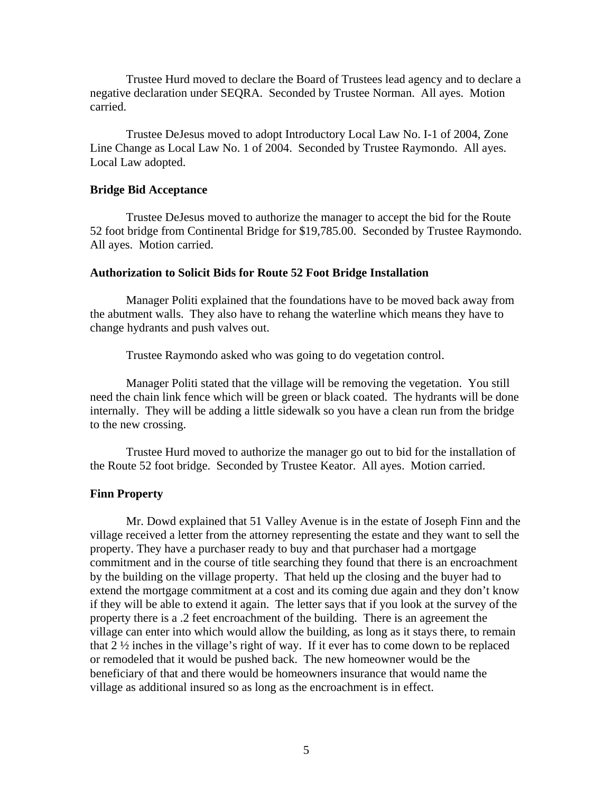Trustee Hurd moved to declare the Board of Trustees lead agency and to declare a negative declaration under SEQRA. Seconded by Trustee Norman. All ayes. Motion carried.

 Trustee DeJesus moved to adopt Introductory Local Law No. I-1 of 2004, Zone Line Change as Local Law No. 1 of 2004. Seconded by Trustee Raymondo. All ayes. Local Law adopted.

## **Bridge Bid Acceptance**

Trustee DeJesus moved to authorize the manager to accept the bid for the Route 52 foot bridge from Continental Bridge for \$19,785.00. Seconded by Trustee Raymondo. All ayes. Motion carried.

### **Authorization to Solicit Bids for Route 52 Foot Bridge Installation**

 Manager Politi explained that the foundations have to be moved back away from the abutment walls. They also have to rehang the waterline which means they have to change hydrants and push valves out.

Trustee Raymondo asked who was going to do vegetation control.

 Manager Politi stated that the village will be removing the vegetation. You still need the chain link fence which will be green or black coated. The hydrants will be done internally. They will be adding a little sidewalk so you have a clean run from the bridge to the new crossing.

 Trustee Hurd moved to authorize the manager go out to bid for the installation of the Route 52 foot bridge. Seconded by Trustee Keator. All ayes. Motion carried.

### **Finn Property**

Mr. Dowd explained that 51 Valley Avenue is in the estate of Joseph Finn and the village received a letter from the attorney representing the estate and they want to sell the property. They have a purchaser ready to buy and that purchaser had a mortgage commitment and in the course of title searching they found that there is an encroachment by the building on the village property. That held up the closing and the buyer had to extend the mortgage commitment at a cost and its coming due again and they don't know if they will be able to extend it again. The letter says that if you look at the survey of the property there is a .2 feet encroachment of the building. There is an agreement the village can enter into which would allow the building, as long as it stays there, to remain that 2 ½ inches in the village's right of way. If it ever has to come down to be replaced or remodeled that it would be pushed back. The new homeowner would be the beneficiary of that and there would be homeowners insurance that would name the village as additional insured so as long as the encroachment is in effect.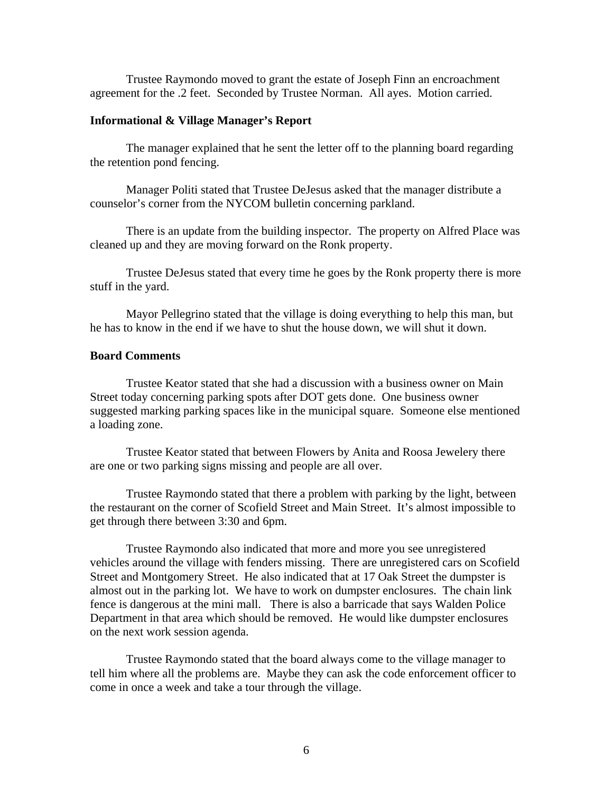Trustee Raymondo moved to grant the estate of Joseph Finn an encroachment agreement for the .2 feet. Seconded by Trustee Norman. All ayes. Motion carried.

### **Informational & Village Manager's Report**

 The manager explained that he sent the letter off to the planning board regarding the retention pond fencing.

 Manager Politi stated that Trustee DeJesus asked that the manager distribute a counselor's corner from the NYCOM bulletin concerning parkland.

 There is an update from the building inspector. The property on Alfred Place was cleaned up and they are moving forward on the Ronk property.

 Trustee DeJesus stated that every time he goes by the Ronk property there is more stuff in the yard.

 Mayor Pellegrino stated that the village is doing everything to help this man, but he has to know in the end if we have to shut the house down, we will shut it down.

#### **Board Comments**

Trustee Keator stated that she had a discussion with a business owner on Main Street today concerning parking spots after DOT gets done. One business owner suggested marking parking spaces like in the municipal square. Someone else mentioned a loading zone.

 Trustee Keator stated that between Flowers by Anita and Roosa Jewelery there are one or two parking signs missing and people are all over.

 Trustee Raymondo stated that there a problem with parking by the light, between the restaurant on the corner of Scofield Street and Main Street. It's almost impossible to get through there between 3:30 and 6pm.

 Trustee Raymondo also indicated that more and more you see unregistered vehicles around the village with fenders missing. There are unregistered cars on Scofield Street and Montgomery Street. He also indicated that at 17 Oak Street the dumpster is almost out in the parking lot. We have to work on dumpster enclosures. The chain link fence is dangerous at the mini mall. There is also a barricade that says Walden Police Department in that area which should be removed. He would like dumpster enclosures on the next work session agenda.

 Trustee Raymondo stated that the board always come to the village manager to tell him where all the problems are. Maybe they can ask the code enforcement officer to come in once a week and take a tour through the village.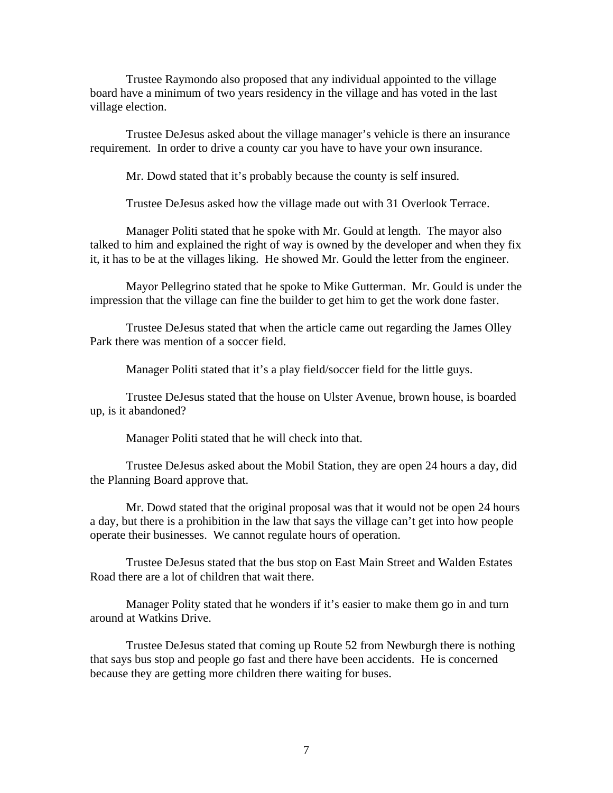Trustee Raymondo also proposed that any individual appointed to the village board have a minimum of two years residency in the village and has voted in the last village election.

 Trustee DeJesus asked about the village manager's vehicle is there an insurance requirement. In order to drive a county car you have to have your own insurance.

Mr. Dowd stated that it's probably because the county is self insured.

Trustee DeJesus asked how the village made out with 31 Overlook Terrace.

 Manager Politi stated that he spoke with Mr. Gould at length. The mayor also talked to him and explained the right of way is owned by the developer and when they fix it, it has to be at the villages liking. He showed Mr. Gould the letter from the engineer.

 Mayor Pellegrino stated that he spoke to Mike Gutterman. Mr. Gould is under the impression that the village can fine the builder to get him to get the work done faster.

 Trustee DeJesus stated that when the article came out regarding the James Olley Park there was mention of a soccer field.

Manager Politi stated that it's a play field/soccer field for the little guys.

 Trustee DeJesus stated that the house on Ulster Avenue, brown house, is boarded up, is it abandoned?

Manager Politi stated that he will check into that.

 Trustee DeJesus asked about the Mobil Station, they are open 24 hours a day, did the Planning Board approve that.

 Mr. Dowd stated that the original proposal was that it would not be open 24 hours a day, but there is a prohibition in the law that says the village can't get into how people operate their businesses. We cannot regulate hours of operation.

 Trustee DeJesus stated that the bus stop on East Main Street and Walden Estates Road there are a lot of children that wait there.

 Manager Polity stated that he wonders if it's easier to make them go in and turn around at Watkins Drive.

 Trustee DeJesus stated that coming up Route 52 from Newburgh there is nothing that says bus stop and people go fast and there have been accidents. He is concerned because they are getting more children there waiting for buses.